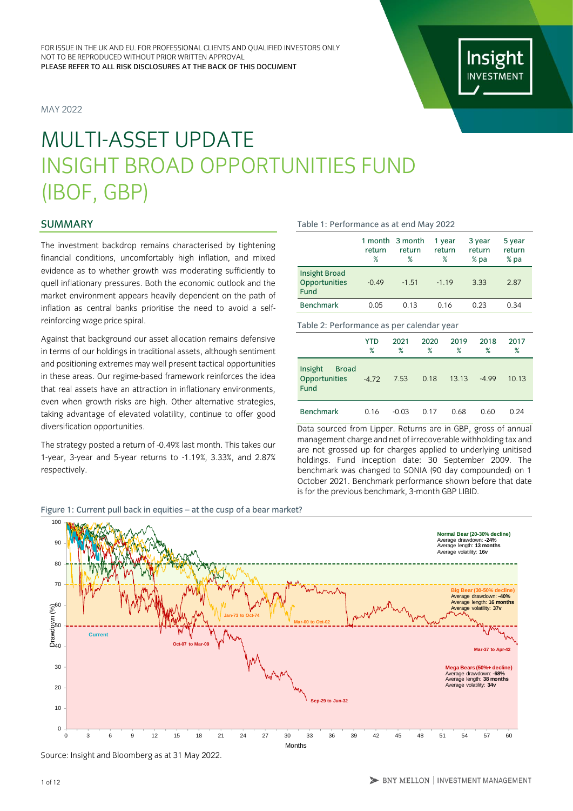MAY 2022



# MULTI-ASSET UPDATE INSIGHT BROAD OPPORTUNITIES FUND (IBOF, GBP)

# SUMMARY

The investment backdrop remains characterised by tightening financial conditions, uncomfortably high inflation, and mixed evidence as to whether growth was moderating sufficiently to quell inflationary pressures. Both the economic outlook and the market environment appears heavily dependent on the path of inflation as central banks prioritise the need to avoid a selfreinforcing wage price spiral.

Against that background our asset allocation remains defensive in terms of our holdings in traditional assets, although sentiment and positioning extremes may well present tactical opportunities in these areas. Our regime-based framework reinforces the idea that real assets have an attraction in inflationary environments, even when growth risks are high. Other alternative strategies, taking advantage of elevated volatility, continue to offer good diversification opportunities.

The strategy posted a return of -0.49% last month. This takes our 1-year, 3-year and 5-year returns to -1.19%, 3.33%, and 2.87% respectively.

Figure 1: Current pull back in equities – at the cusp of a bear market?

#### Table 1: Performance as at end May 2022

|                                                      | return<br>℅ | 1 month 3 month<br>return<br>% | 1 year<br>return<br>% | 3 year<br>return<br>$%$ pa | 5 year<br>return<br>% pa |
|------------------------------------------------------|-------------|--------------------------------|-----------------------|----------------------------|--------------------------|
| <b>Insight Broad</b><br>Opportunities<br><b>Fund</b> | $-0.49$     | $-1.51$                        | $-119$                | 3.33                       | 2.87                     |
| <b>Benchmark</b>                                     | 0.05        | 0.13                           | 0.16                  | 0.23                       | 0.34                     |

Table 2: Performance as per calendar year

|                                                         | YTD<br>% | 2021<br>% | 2020<br>% | 2019<br>% | 2018<br>$\%$ | 2017<br>% |
|---------------------------------------------------------|----------|-----------|-----------|-----------|--------------|-----------|
| Insight<br><b>Broad</b><br>Opportunities<br><b>Fund</b> | $-4.72$  | 7.53      | 0.18      | 13.13     | $-4.99$      | 10.13     |
| <b>Benchmark</b>                                        | 0.16     | $-0.03$   | 0.17      | 0.68      | 0.60         | በ 24      |

Data sourced from Lipper. Returns are in GBP, gross of annual management charge and net of irrecoverable withholding tax and are not grossed up for charges applied to underlying unitised holdings. Fund inception date: 30 September 2009. The benchmark was changed to SONIA (90 day compounded) on 1 October 2021. Benchmark performance shown before that date is for the previous benchmark, 3-month GBP LIBID.



Source: Insight and Bloomberg as at 31 May 2022.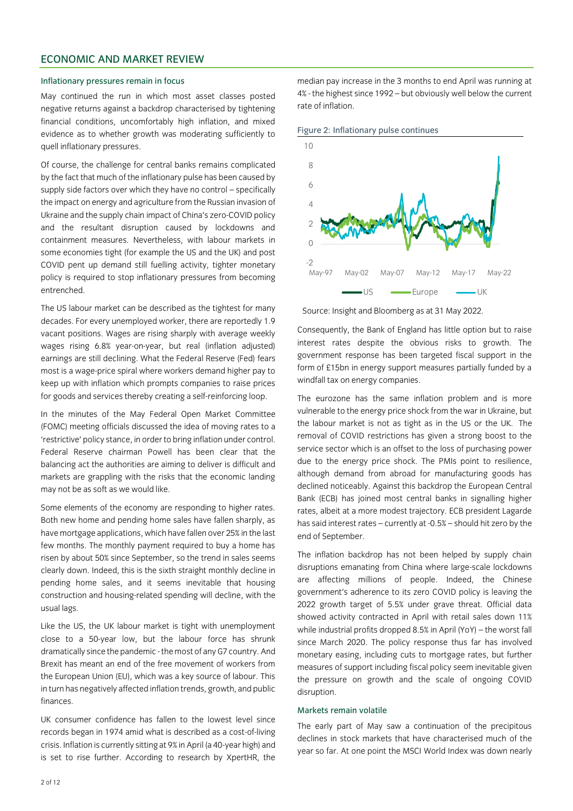# ECONOMIC AND MARKET REVIEW

#### Inflationary pressures remain in focus

May continued the run in which most asset classes posted negative returns against a backdrop characterised by tightening financial conditions, uncomfortably high inflation, and mixed evidence as to whether growth was moderating sufficiently to quell inflationary pressures.

Of course, the challenge for central banks remains complicated by the fact that much of the inflationary pulse has been caused by supply side factors over which they have no control – specifically the impact on energy and agriculture from the Russian invasion of Ukraine and the supply chain impact of China's zero-COVID policy and the resultant disruption caused by lockdowns and containment measures. Nevertheless, with labour markets in some economies tight (for example the US and the UK) and post COVID pent up demand still fuelling activity, tighter monetary policy is required to stop inflationary pressures from becoming entrenched.

The US labour market can be described as the tightest for many decades. For every unemployed worker, there are reportedly 1.9 vacant positions. Wages are rising sharply with average weekly wages rising 6.8% year-on-year, but real (inflation adjusted) earnings are still declining. What the Federal Reserve (Fed) fears most is a wage-price spiral where workers demand higher pay to keep up with inflation which prompts companies to raise prices for goods and services thereby creating a self-reinforcing loop.

In the minutes of the May Federal Open Market Committee (FOMC) meeting officials discussed the idea of moving rates to a 'restrictive' policy stance, in order to bring inflation under control. Federal Reserve chairman Powell has been clear that the balancing act the authorities are aiming to deliver is difficult and markets are grappling with the risks that the economic landing may not be as soft as we would like.

Some elements of the economy are responding to higher rates. Both new home and pending home sales have fallen sharply, as have mortgage applications, which have fallen over 25% in the last few months. The monthly payment required to buy a home has risen by about 50% since September, so the trend in sales seems clearly down. Indeed, this is the sixth straight monthly decline in pending home sales, and it seems inevitable that housing construction and housing-related spending will decline, with the usual lags.

Like the US, the UK labour market is tight with unemployment close to a 50-year low, but the labour force has shrunk dramatically since the pandemic - the most of any G7 country. And Brexit has meant an end of the free movement of workers from the European Union (EU), which was a key source of labour. This in turn has negatively affected inflation trends, growth, and public finances.

UK consumer confidence has fallen to the lowest level since records began in 1974 amid what is described as a cost-of-living crisis. Inflation is currently sitting at 9% in April (a 40-year high) and is set to rise further. According to research by XpertHR, the

median pay increase in the 3 months to end April was running at 4% - the highest since 1992 – but obviously well below the current rate of inflation.





Source: Insight and Bloomberg as at 31 May 2022.

Consequently, the Bank of England has little option but to raise interest rates despite the obvious risks to growth. The government response has been targeted fiscal support in the form of £15bn in energy support measures partially funded by a windfall tax on energy companies.

The eurozone has the same inflation problem and is more vulnerable to the energy price shock from the war in Ukraine, but the labour market is not as tight as in the US or the UK. The removal of COVID restrictions has given a strong boost to the service sector which is an offset to the loss of purchasing power due to the energy price shock. The PMIs point to resilience, although demand from abroad for manufacturing goods has declined noticeably. Against this backdrop the European Central Bank (ECB) has joined most central banks in signalling higher rates, albeit at a more modest trajectory. ECB president Lagarde has said interest rates – currently at -0.5% – should hit zero by the end of September.

The inflation backdrop has not been helped by supply chain disruptions emanating from China where large-scale lockdowns are affecting millions of people. Indeed, the Chinese government's adherence to its zero COVID policy is leaving the 2022 growth target of 5.5% under grave threat. Official data showed activity contracted in April with retail sales down 11% while industrial profits dropped 8.5% in April (YoY) – the worst fall since March 2020. The policy response thus far has involved monetary easing, including cuts to mortgage rates, but further measures of support including fiscal policy seem inevitable given the pressure on growth and the scale of ongoing COVID disruption.

# Markets remain volatile

The early part of May saw a continuation of the precipitous declines in stock markets that have characterised much of the year so far. At one point the MSCI World Index was down nearly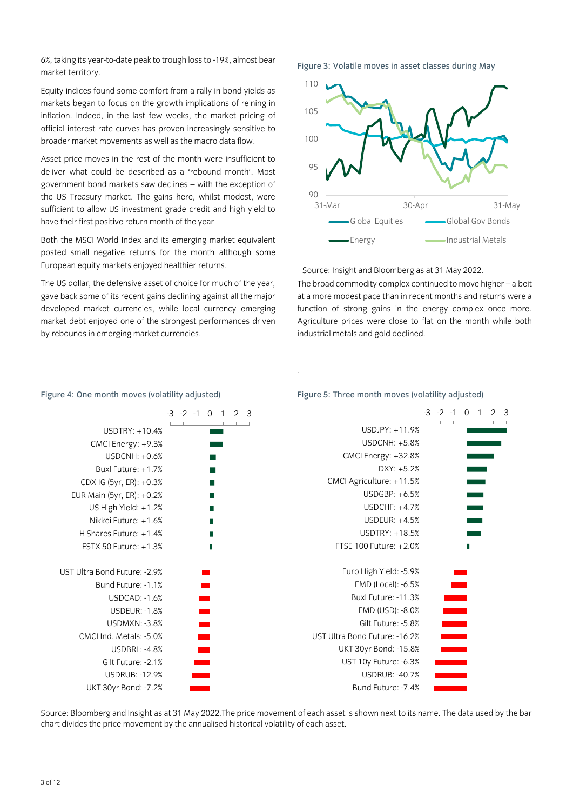6%, taking its year-to-date peak to trough loss to -19%, almost bear market territory.

Equity indices found some comfort from a rally in bond yields as markets began to focus on the growth implications of reining in inflation. Indeed, in the last few weeks, the market pricing of official interest rate curves has proven increasingly sensitive to broader market movements as well as the macro data flow.

Asset price moves in the rest of the month were insufficient to deliver what could be described as a 'rebound month'. Most government bond markets saw declines – with the exception of the US Treasury market. The gains here, whilst modest, were sufficient to allow US investment grade credit and high yield to have their first positive return month of the year

Both the MSCI World Index and its emerging market equivalent posted small negative returns for the month although some European equity markets enjoyed healthier returns.

The US dollar, the defensive asset of choice for much of the year, gave back some of its recent gains declining against all the major developed market currencies, while local currency emerging market debt enjoyed one of the strongest performances driven by rebounds in emerging market currencies.

Figure 3: Volatile moves in asset classes during May



Source: Insight and Bloomberg as at 31 May 2022.

The broad commodity complex continued to move higher – albeit at a more modest pace than in recent months and returns were a function of strong gains in the energy complex once more. Agriculture prices were close to flat on the month while both industrial metals and gold declined.



.

Source: Bloomberg and Insight as at 31 May 2022.The price movement of each asset is shown next to its name. The data used by the bar chart divides the price movement by the annualised historical volatility of each asset.

### Figure 4: One month moves (volatility adjusted) Figure 5: Three month moves (volatility adjusted)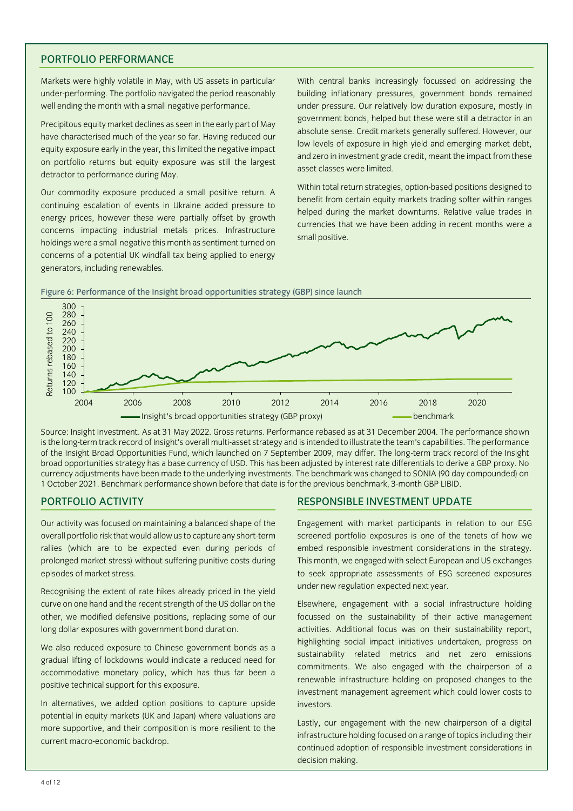# PORTFOLIO PERFORMANCE

Markets were highly volatile in May, with US assets in particular under-performing. The portfolio navigated the period reasonably well ending the month with a small negative performance.

Precipitous equity market declines as seen in the early part of May have characterised much of the year so far. Having reduced our equity exposure early in the year, this limited the negative impact on portfolio returns but equity exposure was still the largest detractor to performance during May.

Our commodity exposure produced a small positive return. A continuing escalation of events in Ukraine added pressure to energy prices, however these were partially offset by growth concerns impacting industrial metals prices. Infrastructure holdings were a small negative this month as sentiment turned on concerns of a potential UK windfall tax being applied to energy generators, including renewables.

With central banks increasingly focussed on addressing the building inflationary pressures, government bonds remained under pressure. Our relatively low duration exposure, mostly in government bonds, helped but these were still a detractor in an absolute sense. Credit markets generally suffered. However, our low levels of exposure in high yield and emerging market debt, and zero in investment grade credit, meant the impact from these asset classes were limited.

Within total return strategies, option-based positions designed to benefit from certain equity markets trading softer within ranges helped during the market downturns. Relative value trades in currencies that we have been adding in recent months were a small positive.



Figure 6: Performance of the Insight broad opportunities strategy (GBP) since launch

Source: Insight Investment. As at 31 May 2022. Gross returns. Performance rebased as at 31 December 2004. The performance shown is the long-term track record of Insight's overall multi-asset strategy and is intended to illustrate the team's capabilities. The performance of the Insight Broad Opportunities Fund, which launched on 7 September 2009, may differ. The long-term track record of the Insight broad opportunities strategy has a base currency of USD. This has been adjusted by interest rate differentials to derive a GBP proxy. No currency adjustments have been made to the underlying investments. The benchmark was changed to SONIA (90 day compounded) on 1 October 2021. Benchmark performance shown before that date is for the previous benchmark, 3-month GBP LIBID.

Our activity was focused on maintaining a balanced shape of the overall portfolio risk that would allow us to capture any short-term rallies (which are to be expected even during periods of prolonged market stress) without suffering punitive costs during episodes of market stress.

Recognising the extent of rate hikes already priced in the yield curve on one hand and the recent strength of the US dollar on the other, we modified defensive positions, replacing some of our long dollar exposures with government bond duration.

We also reduced exposure to Chinese government bonds as a gradual lifting of lockdowns would indicate a reduced need for accommodative monetary policy, which has thus far been a positive technical support for this exposure.

In alternatives, we added option positions to capture upside potential in equity markets (UK and Japan) where valuations are more supportive, and their composition is more resilient to the current macro-economic backdrop.

# PORTFOLIO ACTIVITY **RESPONSIBLE INVESTMENT UPDATE**

Engagement with market participants in relation to our ESG screened portfolio exposures is one of the tenets of how we embed responsible investment considerations in the strategy. This month, we engaged with select European and US exchanges to seek appropriate assessments of ESG screened exposures under new regulation expected next year.

Elsewhere, engagement with a social infrastructure holding focussed on the sustainability of their active management activities. Additional focus was on their sustainability report, highlighting social impact initiatives undertaken, progress on sustainability related metrics and net zero emissions commitments. We also engaged with the chairperson of a renewable infrastructure holding on proposed changes to the investment management agreement which could lower costs to investors.

Lastly, our engagement with the new chairperson of a digital infrastructure holding focused on a range of topics including their continued adoption of responsible investment considerations in decision making.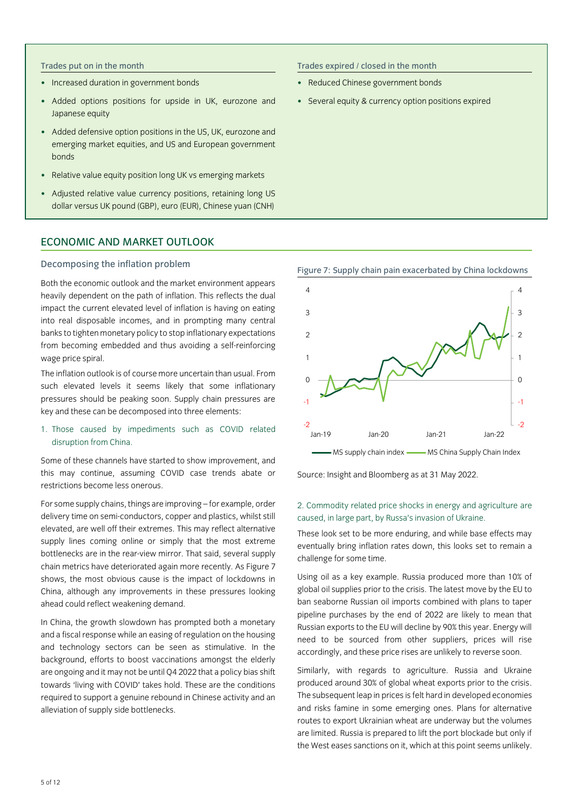- Increased duration in government bonds
- Added options positions for upside in UK, eurozone and Japanese equity
- Added defensive option positions in the US, UK, eurozone and emerging market equities, and US and European government bonds
- Relative value equity position long UK vs emerging markets
- Adjusted relative value currency positions, retaining long US dollar versus UK pound (GBP), euro (EUR), Chinese yuan (CNH)

# ECONOMIC AND MARKET OUTLOOK

#### Decomposing the inflation problem

Both the economic outlook and the market environment appears heavily dependent on the path of inflation. This reflects the dual impact the current elevated level of inflation is having on eating into real disposable incomes, and in prompting many central banks to tighten monetary policy to stop inflationary expectations from becoming embedded and thus avoiding a self-reinforcing wage price spiral.

The inflation outlook is of course more uncertain than usual. From such elevated levels it seems likely that some inflationary pressures should be peaking soon. Supply chain pressures are key and these can be decomposed into three elements:

# 1. Those caused by impediments such as COVID related disruption from China.

Some of these channels have started to show improvement, and this may continue, assuming COVID case trends abate or restrictions become less onerous.

For some supply chains, things are improving – for example, order delivery time on semi-conductors, copper and plastics, whilst still elevated, are well off their extremes. This may reflect alternative supply lines coming online or simply that the most extreme bottlenecks are in the rear-view mirror. That said, several supply chain metrics have deteriorated again more recently. As Figure 7 shows, the most obvious cause is the impact of lockdowns in China, although any improvements in these pressures looking ahead could reflect weakening demand.

In China, the growth slowdown has prompted both a monetary and a fiscal response while an easing of regulation on the housing and technology sectors can be seen as stimulative. In the background, efforts to boost vaccinations amongst the elderly are ongoing and it may not be until Q4 2022 that a policy bias shift towards 'living with COVID' takes hold. These are the conditions required to support a genuine rebound in Chinese activity and an alleviation of supply side bottlenecks.

Trades put on in the month Trades expired / closed in the month

- Reduced Chinese government bonds
- Several equity & currency option positions expired



Source: Insight and Bloomberg as at 31 May 2022.

# 2. Commodity related price shocks in energy and agriculture are caused, in large part, by Russa's invasion of Ukraine.

These look set to be more enduring, and while base effects may eventually bring inflation rates down, this looks set to remain a challenge for some time.

Using oil as a key example. Russia produced more than 10% of global oil supplies prior to the crisis. The latest move by the EU to ban seaborne Russian oil imports combined with plans to taper pipeline purchases by the end of 2022 are likely to mean that Russian exports to the EU will decline by 90% this year. Energy will need to be sourced from other suppliers, prices will rise accordingly, and these price rises are unlikely to reverse soon.

Similarly, with regards to agriculture. Russia and Ukraine produced around 30% of global wheat exports prior to the crisis. The subsequent leap in prices is felt hard in developed economies and risks famine in some emerging ones. Plans for alternative routes to export Ukrainian wheat are underway but the volumes are limited. Russia is prepared to lift the port blockade but only if the West eases sanctions on it, which at this point seems unlikely.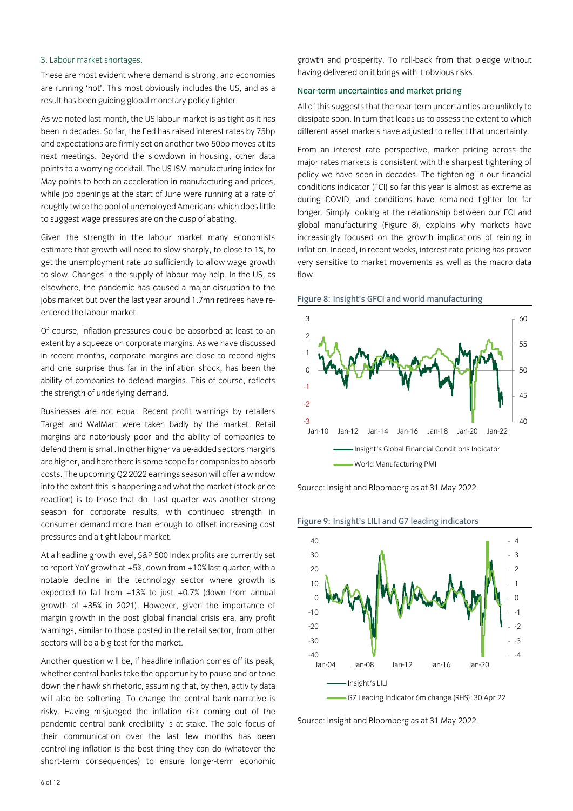# 3. Labour market shortages.

These are most evident where demand is strong, and economies are running 'hot'. This most obviously includes the US, and as a result has been guiding global monetary policy tighter.

As we noted last month, the US labour market is as tight as it has been in decades. So far, the Fed has raised interest rates by 75bp and expectations are firmly set on another two 50bp moves at its next meetings. Beyond the slowdown in housing, other data points to a worrying cocktail. The US ISM manufacturing index for May points to both an acceleration in manufacturing and prices, while job openings at the start of June were running at a rate of roughly twice the pool of unemployed Americans which does little to suggest wage pressures are on the cusp of abating.

Given the strength in the labour market many economists estimate that growth will need to slow sharply, to close to 1%, to get the unemployment rate up sufficiently to allow wage growth to slow. Changes in the supply of labour may help. In the US, as elsewhere, the pandemic has caused a major disruption to the jobs market but over the last year around 1.7mn retirees have reentered the labour market.

Of course, inflation pressures could be absorbed at least to an extent by a squeeze on corporate margins. As we have discussed in recent months, corporate margins are close to record highs and one surprise thus far in the inflation shock, has been the ability of companies to defend margins. This of course, reflects the strength of underlying demand.

Businesses are not equal. Recent profit warnings by retailers Target and WalMart were taken badly by the market. Retail margins are notoriously poor and the ability of companies to defend them is small. In other higher value-added sectors margins are higher, and here there is some scope for companies to absorb costs. The upcoming Q2 2022 earnings season will offer a window into the extent this is happening and what the market (stock price reaction) is to those that do. Last quarter was another strong season for corporate results, with continued strength in consumer demand more than enough to offset increasing cost pressures and a tight labour market.

At a headline growth level, S&P 500 Index profits are currently set to report YoY growth at  $+5%$ , down from  $+10%$  last quarter, with a notable decline in the technology sector where growth is expected to fall from +13% to just +0.7% (down from annual growth of +35% in 2021). However, given the importance of margin growth in the post global financial crisis era, any profit warnings, similar to those posted in the retail sector, from other sectors will be a big test for the market.

Another question will be, if headline inflation comes off its peak, whether central banks take the opportunity to pause and or tone down their hawkish rhetoric, assuming that, by then, activity data will also be softening. To change the central bank narrative is risky. Having misjudged the inflation risk coming out of the pandemic central bank credibility is at stake. The sole focus of their communication over the last few months has been controlling inflation is the best thing they can do (whatever the short-term consequences) to ensure longer-term economic

growth and prosperity. To roll-back from that pledge without having delivered on it brings with it obvious risks.

### Near-term uncertainties and market pricing

All of this suggests that the near-term uncertainties are unlikely to dissipate soon. In turn that leads us to assess the extent to which different asset markets have adjusted to reflect that uncertainty.

From an interest rate perspective, market pricing across the major rates markets is consistent with the sharpest tightening of policy we have seen in decades. The tightening in our financial conditions indicator (FCI) so far this year is almost as extreme as during COVID, and conditions have remained tighter for far longer. Simply looking at the relationship between our FCI and global manufacturing (Figure 8), explains why markets have increasingly focused on the growth implications of reining in inflation. Indeed, in recent weeks, interest rate pricing has proven very sensitive to market movements as well as the macro data flow.

Figure 8: Insight's GFCI and world manufacturing



Source: Insight and Bloomberg as at 31 May 2022.





Source: Insight and Bloomberg as at 31 May 2022.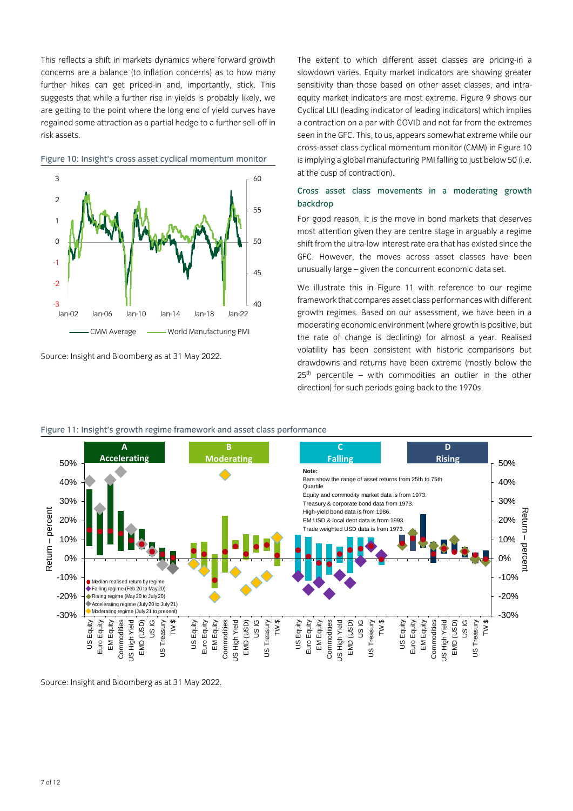This reflects a shift in markets dynamics where forward growth concerns are a balance (to inflation concerns) as to how many further hikes can get priced-in and, importantly, stick. This suggests that while a further rise in yields is probably likely, we are getting to the point where the long end of yield curves have regained some attraction as a partial hedge to a further sell-off in risk assets.



Figure 10: Insight's cross asset cyclical momentum monitor

The extent to which different asset classes are pricing-in a slowdown varies. Equity market indicators are showing greater sensitivity than those based on other asset classes, and intraequity market indicators are most extreme. Figure 9 shows our Cyclical LILI (leading indicator of leading indicators) which implies a contraction on a par with COVID and not far from the extremes seen in the GFC. This, to us, appears somewhat extreme while our cross-asset class cyclical momentum monitor (CMM) in Figure 10 is implying a global manufacturing PMI falling to just below 50 (i.e. at the cusp of contraction).

# Cross asset class movements in a moderating growth backdrop

For good reason, it is the move in bond markets that deserves most attention given they are centre stage in arguably a regime shift from the ultra-low interest rate era that has existed since the GFC. However, the moves across asset classes have been unusually large – given the concurrent economic data set.

We illustrate this in Figure 11 with reference to our regime framework that compares asset class performances with different growth regimes. Based on our assessment, we have been in a moderating economic environment (where growth is positive, but the rate of change is declining) for almost a year. Realised volatility has been consistent with historic comparisons but drawdowns and returns have been extreme (mostly below the  $25<sup>th</sup>$  percentile – with commodities an outlier in the other direction) for such periods going back to the 1970s.



# Figure 11: Insight's growth regime framework and asset class performance

Source: Insight and Bloomberg as at 31 May 2022.

Source: Insight and Bloomberg as at 31 May 2022.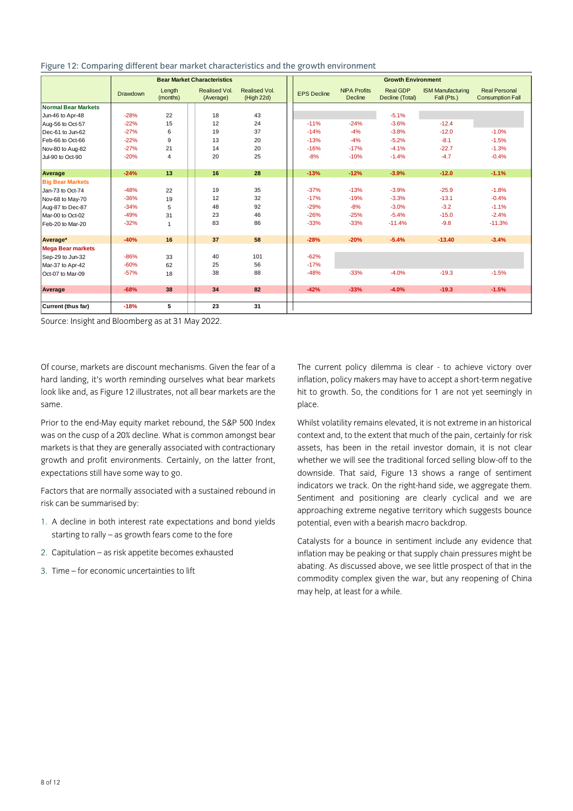|                            | <b>Bear Market Characteristics</b> |                    |                            | <b>Growth Environment</b>   |                    |                                |                                    |                                         |                                                 |  |  |
|----------------------------|------------------------------------|--------------------|----------------------------|-----------------------------|--------------------|--------------------------------|------------------------------------|-----------------------------------------|-------------------------------------------------|--|--|
|                            | <b>Drawdown</b>                    | Length<br>(months) | Realised Vol.<br>(Average) | Realised Vol.<br>(High 22d) | <b>EPS Decline</b> | <b>NIPA Profits</b><br>Decline | <b>Real GDP</b><br>Decline (Total) | <b>ISM Manufacturing</b><br>Fall (Pts.) | <b>Real Personal</b><br><b>Consumption Fall</b> |  |  |
| <b>Normal Bear Markets</b> |                                    |                    |                            |                             |                    |                                |                                    |                                         |                                                 |  |  |
| Jun-46 to Apr-48           | $-28%$                             | 22                 | 18                         | 43                          |                    |                                | $-5.1%$                            |                                         |                                                 |  |  |
| Aug-56 to Oct-57           | $-22%$                             | 15                 | 12                         | 24                          | $-11%$             | $-24%$                         | $-3.6%$                            | $-12.4$                                 |                                                 |  |  |
| Dec-61 to Jun-62           | $-27%$                             | 6                  | 19                         | 37                          | $-14%$             | $-4%$                          | $-3.8%$                            | $-12.0$                                 | $-1.0%$                                         |  |  |
| Feb-66 to Oct-66           | $-22%$                             | 9                  | 13                         | 20                          | $-13%$             | $-4%$                          | $-5.2%$                            | $-8.1$                                  | $-1.5%$                                         |  |  |
| Nov-80 to Aug-82           | $-27%$                             | 21                 | 14                         | 20                          | $-16%$             | $-17%$                         | $-4.1%$                            | $-22.7$                                 | $-1.3%$                                         |  |  |
| Jul-90 to Oct-90           | $-20%$                             | 4                  | 20                         | 25                          | $-8%$              | $-10%$                         | $-1.4%$                            | $-4.7$                                  | $-0.4%$                                         |  |  |
| Average                    | $-24%$                             | 13                 | 16                         | 28                          | $-13%$             | $-12%$                         | $-3.9%$                            | $-12.0$                                 | $-1.1%$                                         |  |  |
| <b>Big Bear Markets</b>    |                                    |                    |                            |                             |                    |                                |                                    |                                         |                                                 |  |  |
| Jan-73 to Oct-74           | $-48%$                             | 22                 | 19                         | 35                          | $-37%$             | $-13%$                         | $-3.9%$                            | $-25.9$                                 | $-1.8%$                                         |  |  |
| Nov-68 to May-70           | $-36%$                             | 19                 | 12                         | 32                          | $-17%$             | $-19%$                         | $-3.3%$                            | $-13.1$                                 | $-0.4%$                                         |  |  |
| Aug-87 to Dec-87           | $-34%$                             | 5                  | 48                         | 92                          | $-29%$             | $-8%$                          | $-3.0%$                            | $-3.2$                                  | $-1.1%$                                         |  |  |
| Mar-00 to Oct-02           | $-49%$                             | 31                 | 23                         | 46                          | $-26%$             | $-25%$                         | $-5.4%$                            | $-15.0$                                 | $-2.4%$                                         |  |  |
| Feb-20 to Mar-20           | $-32%$                             | $\mathbf{1}$       | 83                         | 86                          | $-33%$             | $-33%$                         | $-11.4%$                           | $-9.8$                                  | $-11.3%$                                        |  |  |
| Average*                   | $-40%$                             | 16                 | 37                         | 58                          | $-28%$             | $-20%$                         | $-5.4%$                            | $-13.40$                                | $-3.4%$                                         |  |  |
| <b>Mega Bear markets</b>   |                                    |                    |                            |                             |                    |                                |                                    |                                         |                                                 |  |  |
| Sep-29 to Jun-32           | $-86%$                             | 33                 | 40                         | 101                         | $-62%$             |                                |                                    |                                         |                                                 |  |  |
| Mar-37 to Apr-42           | $-60%$                             | 62                 | 25                         | 56                          | $-17%$             |                                |                                    |                                         |                                                 |  |  |
| Oct-07 to Mar-09           | $-57%$                             | 18                 | 38                         | 88                          | $-48%$             | $-33%$                         | $-4.0%$                            | $-19.3$                                 | $-1.5%$                                         |  |  |
| Average                    | $-68%$                             | 38                 | 34                         | 82                          | $-42%$             | $-33%$                         | $-4.0%$                            | $-19.3$                                 | $-1.5%$                                         |  |  |
| <b>Current (thus far)</b>  | $-18%$                             | 5                  | 23                         | 31                          |                    |                                |                                    |                                         |                                                 |  |  |

#### Figure 12: Comparing different bear market characteristics and the growth environment

Source: Insight and Bloomberg as at 31 May 2022.

Of course, markets are discount mechanisms. Given the fear of a hard landing, it's worth reminding ourselves what bear markets look like and, as Figure 12 illustrates, not all bear markets are the same.

Prior to the end-May equity market rebound, the S&P 500 Index was on the cusp of a 20% decline. What is common amongst bear markets is that they are generally associated with contractionary growth and profit environments. Certainly, on the latter front, expectations still have some way to go.

Factors that are normally associated with a sustained rebound in risk can be summarised by:

- 1. A decline in both interest rate expectations and bond yields starting to rally – as growth fears come to the fore
- 2. Capitulation as risk appetite becomes exhausted
- 3. Time for economic uncertainties to lift

The current policy dilemma is clear - to achieve victory over inflation, policy makers may have to accept a short-term negative hit to growth. So, the conditions for 1 are not yet seemingly in place.

Whilst volatility remains elevated, it is not extreme in an historical context and, to the extent that much of the pain, certainly for risk assets, has been in the retail investor domain, it is not clear whether we will see the traditional forced selling blow-off to the downside. That said, Figure 13 shows a range of sentiment indicators we track. On the right-hand side, we aggregate them. Sentiment and positioning are clearly cyclical and we are approaching extreme negative territory which suggests bounce potential, even with a bearish macro backdrop.

Catalysts for a bounce in sentiment include any evidence that inflation may be peaking or that supply chain pressures might be abating. As discussed above, we see little prospect of that in the commodity complex given the war, but any reopening of China may help, at least for a while.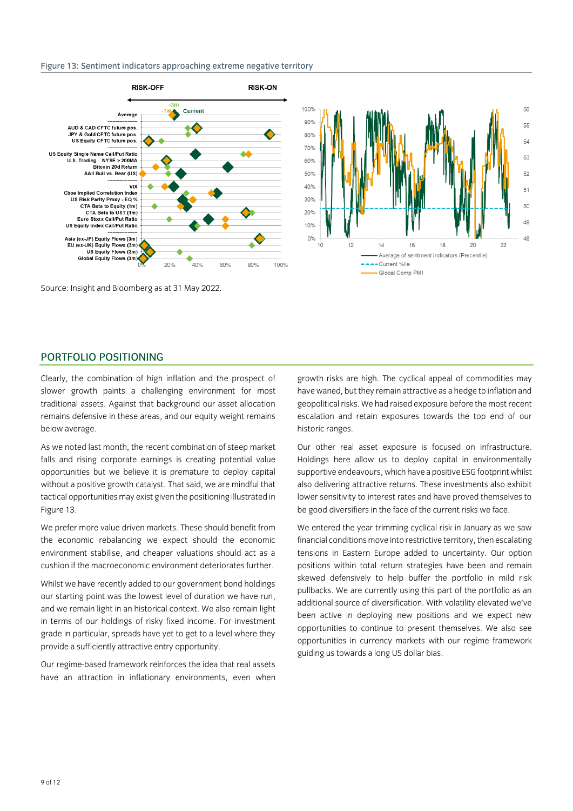#### Figure 13: Sentiment indicators approaching extreme negative territory



Source: Insight and Bloomberg as at 31 May 2022.

# PORTFOLIO POSITIONING

Clearly, the combination of high inflation and the prospect of slower growth paints a challenging environment for most traditional assets. Against that background our asset allocation remains defensive in these areas, and our equity weight remains below average.

As we noted last month, the recent combination of steep market falls and rising corporate earnings is creating potential value opportunities but we believe it is premature to deploy capital without a positive growth catalyst. That said, we are mindful that tactical opportunities may exist given the positioning illustrated in Figure 13.

We prefer more value driven markets. These should benefit from the economic rebalancing we expect should the economic environment stabilise, and cheaper valuations should act as a cushion if the macroeconomic environment deteriorates further.

Whilst we have recently added to our government bond holdings our starting point was the lowest level of duration we have run, and we remain light in an historical context. We also remain light in terms of our holdings of risky fixed income. For investment grade in particular, spreads have yet to get to a level where they provide a sufficiently attractive entry opportunity.

Our regime-based framework reinforces the idea that real assets have an attraction in inflationary environments, even when

growth risks are high. The cyclical appeal of commodities may have waned, but they remain attractive as a hedge to inflation and geopolitical risks. We had raised exposure before the most recent escalation and retain exposures towards the top end of our historic ranges.

Our other real asset exposure is focused on infrastructure. Holdings here allow us to deploy capital in environmentally supportive endeavours, which have a positive ESG footprint whilst also delivering attractive returns. These investments also exhibit lower sensitivity to interest rates and have proved themselves to be good diversifiers in the face of the current risks we face.

We entered the year trimming cyclical risk in January as we saw financial conditions move into restrictive territory, then escalating tensions in Eastern Europe added to uncertainty. Our option positions within total return strategies have been and remain skewed defensively to help buffer the portfolio in mild risk pullbacks. We are currently using this part of the portfolio as an additional source of diversification. With volatility elevated we've been active in deploying new positions and we expect new opportunities to continue to present themselves. We also see opportunities in currency markets with our regime framework guiding us towards a long US dollar bias.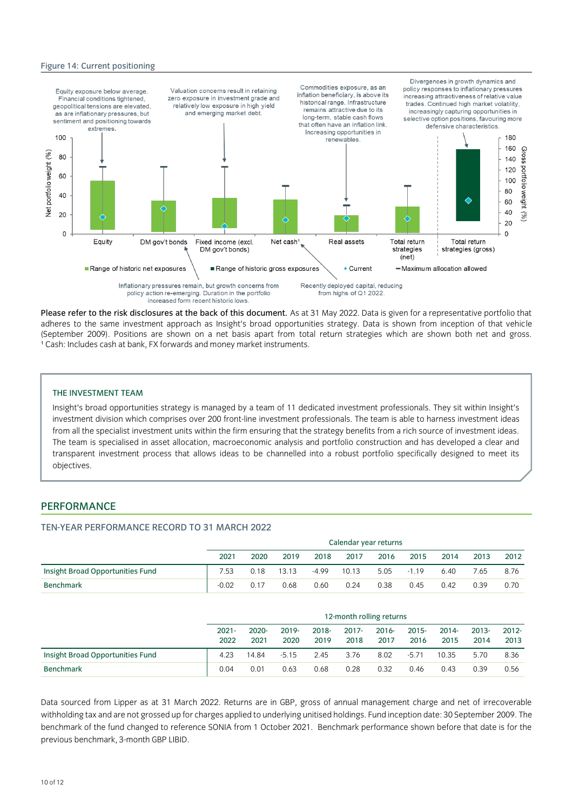#### Figure 14: Current positioning



Please refer to the risk disclosures at the back of this document. As at 31 May 2022. Data is given for a representative portfolio that adheres to the same investment approach as Insight's broad opportunities strategy. Data is shown from inception of that vehicle (September 2009). Positions are shown on a net basis apart from total return strategies which are shown both net and gross. <sup>1</sup> Cash: Includes cash at bank, FX forwards and money market instruments.

### THE INVESTMENT TEAM

Insight's broad opportunities strategy is managed by a team of 11 dedicated investment professionals. They sit within Insight's investment division which comprises over 200 front-line investment professionals. The team is able to harness investment ideas from all the specialist investment units within the firm ensuring that the strategy benefits from a rich source of investment ideas. The team is specialised in asset allocation, macroeconomic analysis and portfolio construction and has developed a clear and transparent investment process that allows ideas to be channelled into a robust portfolio specifically designed to meet its objectives.

# PERFORMANCE

# TEN-YEAR PERFORMANCE RECORD TO 31 MARCH 2022

|                                  | Calendar year returns |      |       |         |       |      |         |      |      |      |
|----------------------------------|-----------------------|------|-------|---------|-------|------|---------|------|------|------|
|                                  | 2021                  | 2020 | 2019  | 2018    | 2017  | 2016 | 2015    | 2014 | 2013 | 2012 |
| Insight Broad Opportunities Fund | 7.53                  | 0.18 | 13.13 | $-4.99$ | 10.13 | 5.05 | $-1.19$ | 6.40 | 7.65 | 8.76 |
| <b>Benchmark</b>                 | $-0.02$               | 0.17 | 0.68  | 0.60    | 0.24  | 0.38 | 0.45    | 0.42 | 0.39 | 0.70 |

|                                  | 12-month rolling returns |                  |               |               |                  |                  |                  |                  |                  |                  |  |
|----------------------------------|--------------------------|------------------|---------------|---------------|------------------|------------------|------------------|------------------|------------------|------------------|--|
|                                  | $2021 -$<br>2022         | $2020 -$<br>2021 | 2019-<br>2020 | 2018-<br>2019 | $2017 -$<br>2018 | $2016 -$<br>2017 | $2015 -$<br>2016 | $2014 -$<br>2015 | $2013 -$<br>2014 | $2012 -$<br>2013 |  |
| Insight Broad Opportunities Fund | 4.23                     | 14.84            | $-5.15$       | 2.45          | 3.76             | 8.02             | $-5.71$          | 10.35            | 5.70             | 8.36             |  |
| <b>Benchmark</b>                 | 0.04                     | 0.01             | 0.63          | 0.68          | 0.28             | 0.32             | 0.46             | 0.43             | 0.39             | 0.56             |  |

Data sourced from Lipper as at 31 March 2022. Returns are in GBP, gross of annual management charge and net of irrecoverable withholding tax and are not grossed up for charges applied to underlying unitised holdings. Fund inception date: 30 September 2009. The benchmark of the fund changed to reference SONIA from 1 October 2021. Benchmark performance shown before that date is for the previous benchmark, 3-month GBP LIBID.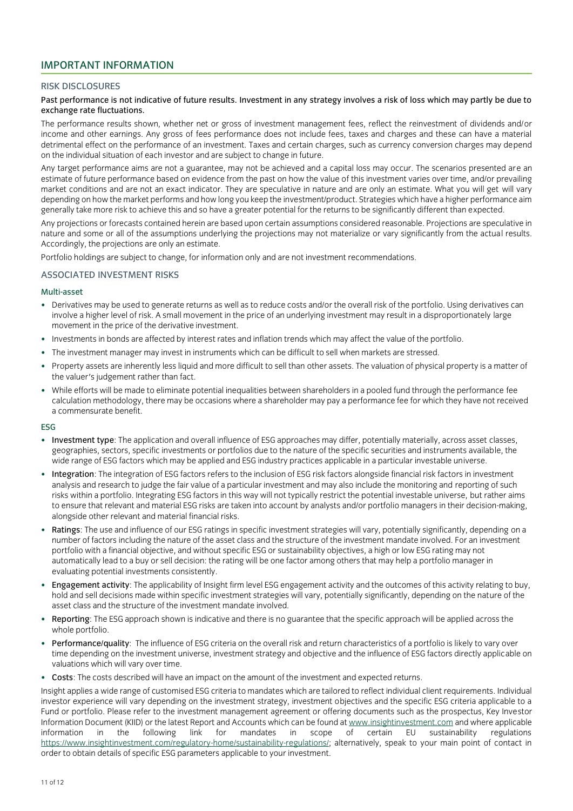# IMPORTANT INFORMATION

# RISK DISCLOSURES

# Past performance is not indicative of future results. Investment in any strategy involves a risk of loss which may partly be due to exchange rate fluctuations.

The performance results shown, whether net or gross of investment management fees, reflect the reinvestment of dividends and/or income and other earnings. Any gross of fees performance does not include fees, taxes and charges and these can have a material detrimental effect on the performance of an investment. Taxes and certain charges, such as currency conversion charges may depend on the individual situation of each investor and are subject to change in future.

Any target performance aims are not a guarantee, may not be achieved and a capital loss may occur. The scenarios presented are an estimate of future performance based on evidence from the past on how the value of this investment varies over time, and/or prevailing market conditions and are not an exact indicator. They are speculative in nature and are only an estimate. What you will get will vary depending on how the market performs and how long you keep the investment/product. Strategies which have a higher performance aim generally take more risk to achieve this and so have a greater potential for the returns to be significantly different than expected.

Any projections or forecasts contained herein are based upon certain assumptions considered reasonable. Projections are speculative in nature and some or all of the assumptions underlying the projections may not materialize or vary significantly from the actual results. Accordingly, the projections are only an estimate.

Portfolio holdings are subject to change, for information only and are not investment recommendations.

# ASSOCIATED INVESTMENT RISKS

#### Multi-asset

- Derivatives may be used to generate returns as well as to reduce costs and/or the overall risk of the portfolio. Using derivatives can involve a higher level of risk. A small movement in the price of an underlying investment may result in a disproportionately large movement in the price of the derivative investment.
- Investments in bonds are affected by interest rates and inflation trends which may affect the value of the portfolio.
- The investment manager may invest in instruments which can be difficult to sell when markets are stressed.
- Property assets are inherently less liquid and more difficult to sell than other assets. The valuation of physical property is a matter of the valuer's judgement rather than fact.
- While efforts will be made to eliminate potential inequalities between shareholders in a pooled fund through the performance fee calculation methodology, there may be occasions where a shareholder may pay a performance fee for which they have not received a commensurate benefit.

#### ESG

- Investment type: The application and overall influence of ESG approaches may differ, potentially materially, across asset classes, geographies, sectors, specific investments or portfolios due to the nature of the specific securities and instruments available, the wide range of ESG factors which may be applied and ESG industry practices applicable in a particular investable universe.
- Integration: The integration of ESG factors refers to the inclusion of ESG risk factors alongside financial risk factors in investment analysis and research to judge the fair value of a particular investment and may also include the monitoring and reporting of such risks within a portfolio. Integrating ESG factors in this way will not typically restrict the potential investable universe, but rather aims to ensure that relevant and material ESG risks are taken into account by analysts and/or portfolio managers in their decision-making, alongside other relevant and material financial risks.
- Ratings: The use and influence of our ESG ratings in specific investment strategies will vary, potentially significantly, depending on a number of factors including the nature of the asset class and the structure of the investment mandate involved. For an investment portfolio with a financial objective, and without specific ESG or sustainability objectives, a high or low ESG rating may not automatically lead to a buy or sell decision: the rating will be one factor among others that may help a portfolio manager in evaluating potential investments consistently.
- Engagement activity: The applicability of Insight firm level ESG engagement activity and the outcomes of this activity relating to buy, hold and sell decisions made within specific investment strategies will vary, potentially significantly, depending on the nature of the asset class and the structure of the investment mandate involved.
- Reporting: The ESG approach shown is indicative and there is no guarantee that the specific approach will be applied across the whole portfolio.
- Performance/quality: The influence of ESG criteria on the overall risk and return characteristics of a portfolio is likely to vary over time depending on the investment universe, investment strategy and objective and the influence of ESG factors directly applicable on valuations which will vary over time.
- Costs: The costs described will have an impact on the amount of the investment and expected returns.

Insight applies a wide range of customised ESG criteria to mandates which are tailored to reflect individual client requirements. Individual investor experience will vary depending on the investment strategy, investment objectives and the specific ESG criteria applicable to a Fund or portfolio. Please refer to the investment management agreement or offering documents such as the prospectus, Key Investor Information Document (KIID) or the latest Report and Accounts which can be found a[t www.insightinvestment.com](http://www.insightinvestment.com/) and where applicable information in the following link for mandates in scope of certain EU sustainability regulations [https://www.insightinvestment.com/regulatory-home/sustainability-regulations/;](https://www.insightinvestment.com/regulatory-home/sustainability-regulations/) alternatively, speak to your main point of contact in order to obtain details of specific ESG parameters applicable to your investment.